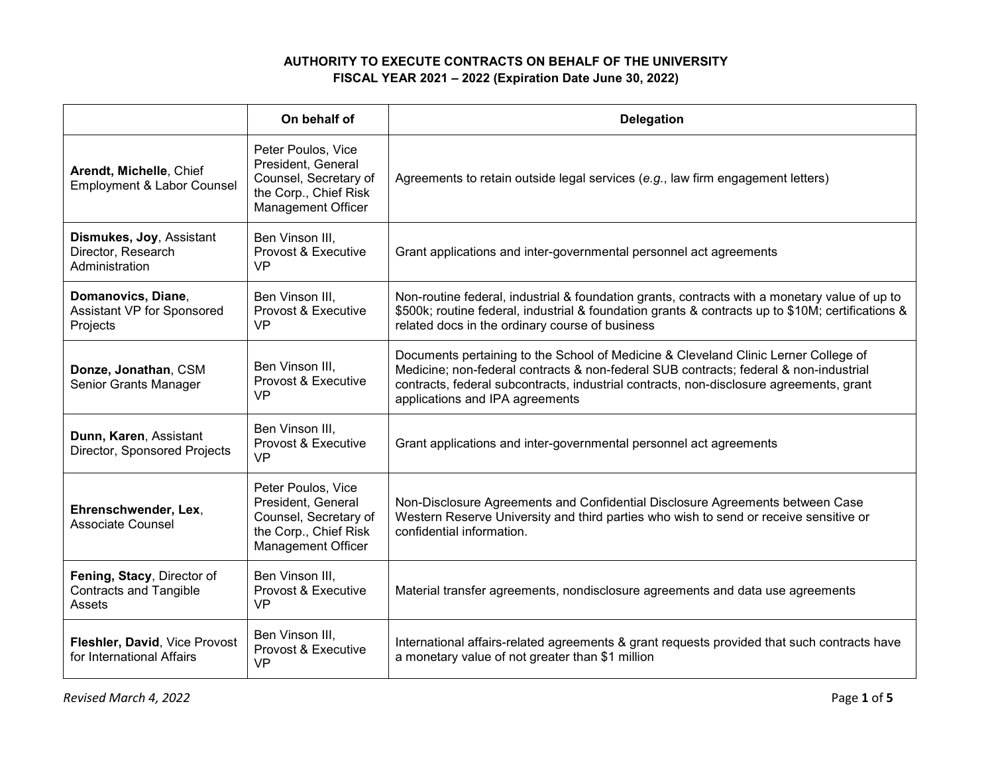## **AUTHORITY TO EXECUTE CONTRACTS ON BEHALF OF THE UNIVERSITY FISCAL YEAR 2021 – 2022 (Expiration Date June 30, 2022)**

|                                                                       | On behalf of                                                                                                            | <b>Delegation</b>                                                                                                                                                                                                                                                                                          |
|-----------------------------------------------------------------------|-------------------------------------------------------------------------------------------------------------------------|------------------------------------------------------------------------------------------------------------------------------------------------------------------------------------------------------------------------------------------------------------------------------------------------------------|
| Arendt, Michelle, Chief<br><b>Employment &amp; Labor Counsel</b>      | Peter Poulos, Vice<br>President, General<br>Counsel, Secretary of<br>the Corp., Chief Risk<br><b>Management Officer</b> | Agreements to retain outside legal services (e.g., law firm engagement letters)                                                                                                                                                                                                                            |
| Dismukes, Joy, Assistant<br>Director, Research<br>Administration      | Ben Vinson III.<br>Provost & Executive<br>VP                                                                            | Grant applications and inter-governmental personnel act agreements                                                                                                                                                                                                                                         |
| Domanovics, Diane,<br>Assistant VP for Sponsored<br>Projects          | Ben Vinson III,<br>Provost & Executive<br><b>VP</b>                                                                     | Non-routine federal, industrial & foundation grants, contracts with a monetary value of up to<br>\$500k; routine federal, industrial & foundation grants & contracts up to \$10M; certifications &<br>related docs in the ordinary course of business                                                      |
| Donze, Jonathan, CSM<br>Senior Grants Manager                         | Ben Vinson III,<br>Provost & Executive<br><b>VP</b>                                                                     | Documents pertaining to the School of Medicine & Cleveland Clinic Lerner College of<br>Medicine; non-federal contracts & non-federal SUB contracts; federal & non-industrial<br>contracts, federal subcontracts, industrial contracts, non-disclosure agreements, grant<br>applications and IPA agreements |
| Dunn, Karen, Assistant<br>Director, Sponsored Projects                | Ben Vinson III.<br>Provost & Executive<br>VP                                                                            | Grant applications and inter-governmental personnel act agreements                                                                                                                                                                                                                                         |
| Ehrenschwender, Lex,<br><b>Associate Counsel</b>                      | Peter Poulos, Vice<br>President, General<br>Counsel, Secretary of<br>the Corp., Chief Risk<br>Management Officer        | Non-Disclosure Agreements and Confidential Disclosure Agreements between Case<br>Western Reserve University and third parties who wish to send or receive sensitive or<br>confidential information.                                                                                                        |
| Fening, Stacy, Director of<br><b>Contracts and Tangible</b><br>Assets | Ben Vinson III.<br>Provost & Executive<br><b>VP</b>                                                                     | Material transfer agreements, nondisclosure agreements and data use agreements                                                                                                                                                                                                                             |
| Fleshler, David, Vice Provost<br>for International Affairs            | Ben Vinson III,<br>Provost & Executive<br><b>VP</b>                                                                     | International affairs-related agreements & grant requests provided that such contracts have<br>a monetary value of not greater than \$1 million                                                                                                                                                            |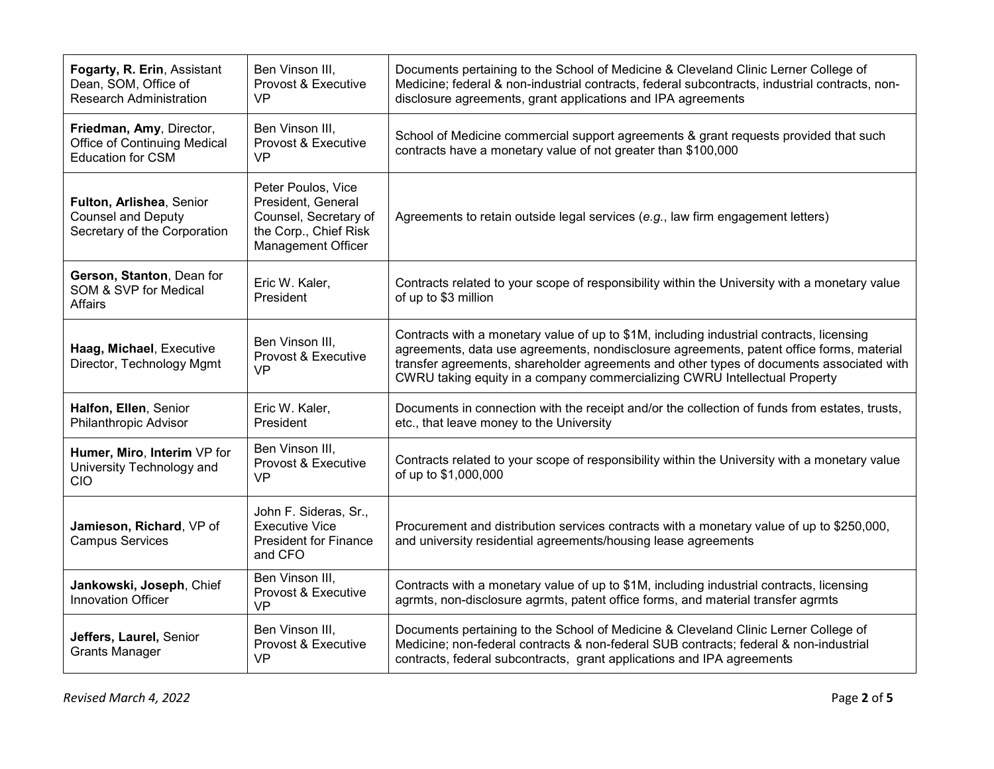| Fogarty, R. Erin, Assistant<br>Dean, SOM, Office of<br><b>Research Administration</b>       | Ben Vinson III,<br>Provost & Executive<br><b>VP</b>                                                                     | Documents pertaining to the School of Medicine & Cleveland Clinic Lerner College of<br>Medicine; federal & non-industrial contracts, federal subcontracts, industrial contracts, non-<br>disclosure agreements, grant applications and IPA agreements                                                                                                          |
|---------------------------------------------------------------------------------------------|-------------------------------------------------------------------------------------------------------------------------|----------------------------------------------------------------------------------------------------------------------------------------------------------------------------------------------------------------------------------------------------------------------------------------------------------------------------------------------------------------|
| Friedman, Amy, Director,<br><b>Office of Continuing Medical</b><br><b>Education for CSM</b> | Ben Vinson III,<br>Provost & Executive<br><b>VP</b>                                                                     | School of Medicine commercial support agreements & grant requests provided that such<br>contracts have a monetary value of not greater than \$100,000                                                                                                                                                                                                          |
| Fulton, Arlishea, Senior<br><b>Counsel and Deputy</b><br>Secretary of the Corporation       | Peter Poulos, Vice<br>President, General<br>Counsel, Secretary of<br>the Corp., Chief Risk<br><b>Management Officer</b> | Agreements to retain outside legal services (e.g., law firm engagement letters)                                                                                                                                                                                                                                                                                |
| Gerson, Stanton, Dean for<br>SOM & SVP for Medical<br>Affairs                               | Eric W. Kaler,<br>President                                                                                             | Contracts related to your scope of responsibility within the University with a monetary value<br>of up to \$3 million                                                                                                                                                                                                                                          |
| Haag, Michael, Executive<br>Director, Technology Mgmt                                       | Ben Vinson III.<br>Provost & Executive<br>VP                                                                            | Contracts with a monetary value of up to \$1M, including industrial contracts, licensing<br>agreements, data use agreements, nondisclosure agreements, patent office forms, material<br>transfer agreements, shareholder agreements and other types of documents associated with<br>CWRU taking equity in a company commercializing CWRU Intellectual Property |
| Halfon, Ellen, Senior<br>Philanthropic Advisor                                              | Eric W. Kaler,<br>President                                                                                             | Documents in connection with the receipt and/or the collection of funds from estates, trusts,<br>etc., that leave money to the University                                                                                                                                                                                                                      |
| Humer, Miro, Interim VP for<br>University Technology and<br>CIO                             | Ben Vinson III,<br>Provost & Executive<br><b>VP</b>                                                                     | Contracts related to your scope of responsibility within the University with a monetary value<br>of up to \$1,000,000                                                                                                                                                                                                                                          |
| Jamieson, Richard, VP of<br><b>Campus Services</b>                                          | John F. Sideras, Sr.,<br><b>Executive Vice</b><br><b>President for Finance</b><br>and CFO                               | Procurement and distribution services contracts with a monetary value of up to \$250,000,<br>and university residential agreements/housing lease agreements                                                                                                                                                                                                    |
| Jankowski, Joseph, Chief<br><b>Innovation Officer</b>                                       | Ben Vinson III,<br>Provost & Executive<br><b>VP</b>                                                                     | Contracts with a monetary value of up to \$1M, including industrial contracts, licensing<br>agrmts, non-disclosure agrmts, patent office forms, and material transfer agrmts                                                                                                                                                                                   |
| Jeffers, Laurel, Senior<br><b>Grants Manager</b>                                            | Ben Vinson III.<br>Provost & Executive<br><b>VP</b>                                                                     | Documents pertaining to the School of Medicine & Cleveland Clinic Lerner College of<br>Medicine; non-federal contracts & non-federal SUB contracts; federal & non-industrial<br>contracts, federal subcontracts, grant applications and IPA agreements                                                                                                         |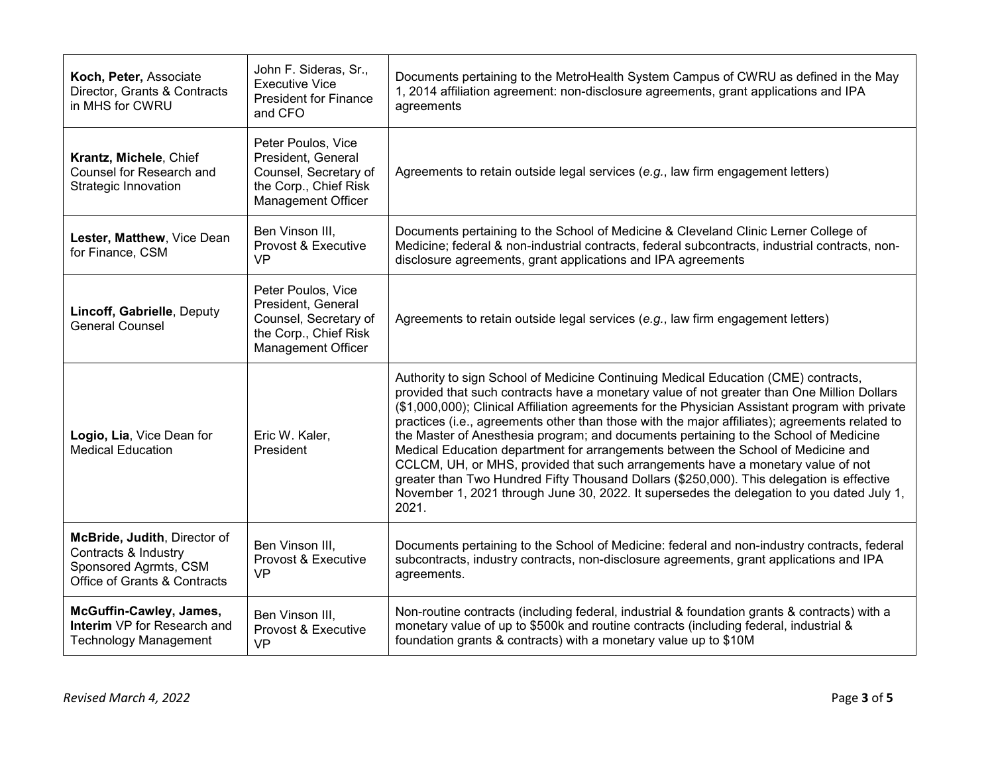| Koch, Peter, Associate<br>Director, Grants & Contracts<br>in MHS for CWRU                                     | John F. Sideras, Sr.,<br><b>Executive Vice</b><br><b>President for Finance</b><br>and CFO                        | Documents pertaining to the MetroHealth System Campus of CWRU as defined in the May<br>1, 2014 affiliation agreement: non-disclosure agreements, grant applications and IPA<br>agreements                                                                                                                                                                                                                                                                                                                                                                                                                                                                                                                                                                                                                                                               |
|---------------------------------------------------------------------------------------------------------------|------------------------------------------------------------------------------------------------------------------|---------------------------------------------------------------------------------------------------------------------------------------------------------------------------------------------------------------------------------------------------------------------------------------------------------------------------------------------------------------------------------------------------------------------------------------------------------------------------------------------------------------------------------------------------------------------------------------------------------------------------------------------------------------------------------------------------------------------------------------------------------------------------------------------------------------------------------------------------------|
| Krantz, Michele, Chief<br>Counsel for Research and<br>Strategic Innovation                                    | Peter Poulos, Vice<br>President, General<br>Counsel, Secretary of<br>the Corp., Chief Risk<br>Management Officer | Agreements to retain outside legal services (e.g., law firm engagement letters)                                                                                                                                                                                                                                                                                                                                                                                                                                                                                                                                                                                                                                                                                                                                                                         |
| Lester, Matthew, Vice Dean<br>for Finance, CSM                                                                | Ben Vinson III,<br>Provost & Executive<br>VP                                                                     | Documents pertaining to the School of Medicine & Cleveland Clinic Lerner College of<br>Medicine; federal & non-industrial contracts, federal subcontracts, industrial contracts, non-<br>disclosure agreements, grant applications and IPA agreements                                                                                                                                                                                                                                                                                                                                                                                                                                                                                                                                                                                                   |
| Lincoff, Gabrielle, Deputy<br><b>General Counsel</b>                                                          | Peter Poulos, Vice<br>President, General<br>Counsel, Secretary of<br>the Corp., Chief Risk<br>Management Officer | Agreements to retain outside legal services (e.g., law firm engagement letters)                                                                                                                                                                                                                                                                                                                                                                                                                                                                                                                                                                                                                                                                                                                                                                         |
| Logio, Lia, Vice Dean for<br><b>Medical Education</b>                                                         | Eric W. Kaler,<br>President                                                                                      | Authority to sign School of Medicine Continuing Medical Education (CME) contracts,<br>provided that such contracts have a monetary value of not greater than One Million Dollars<br>(\$1,000,000); Clinical Affiliation agreements for the Physician Assistant program with private<br>practices (i.e., agreements other than those with the major affiliates); agreements related to<br>the Master of Anesthesia program; and documents pertaining to the School of Medicine<br>Medical Education department for arrangements between the School of Medicine and<br>CCLCM, UH, or MHS, provided that such arrangements have a monetary value of not<br>greater than Two Hundred Fifty Thousand Dollars (\$250,000). This delegation is effective<br>November 1, 2021 through June 30, 2022. It supersedes the delegation to you dated July 1,<br>2021. |
| McBride, Judith, Director of<br>Contracts & Industry<br>Sponsored Agrmts, CSM<br>Office of Grants & Contracts | Ben Vinson III.<br>Provost & Executive<br><b>VP</b>                                                              | Documents pertaining to the School of Medicine: federal and non-industry contracts, federal<br>subcontracts, industry contracts, non-disclosure agreements, grant applications and IPA<br>agreements.                                                                                                                                                                                                                                                                                                                                                                                                                                                                                                                                                                                                                                                   |
| McGuffin-Cawley, James,<br>Interim VP for Research and<br><b>Technology Management</b>                        | Ben Vinson III.<br>Provost & Executive<br><b>VP</b>                                                              | Non-routine contracts (including federal, industrial & foundation grants & contracts) with a<br>monetary value of up to \$500k and routine contracts (including federal, industrial &<br>foundation grants & contracts) with a monetary value up to \$10M                                                                                                                                                                                                                                                                                                                                                                                                                                                                                                                                                                                               |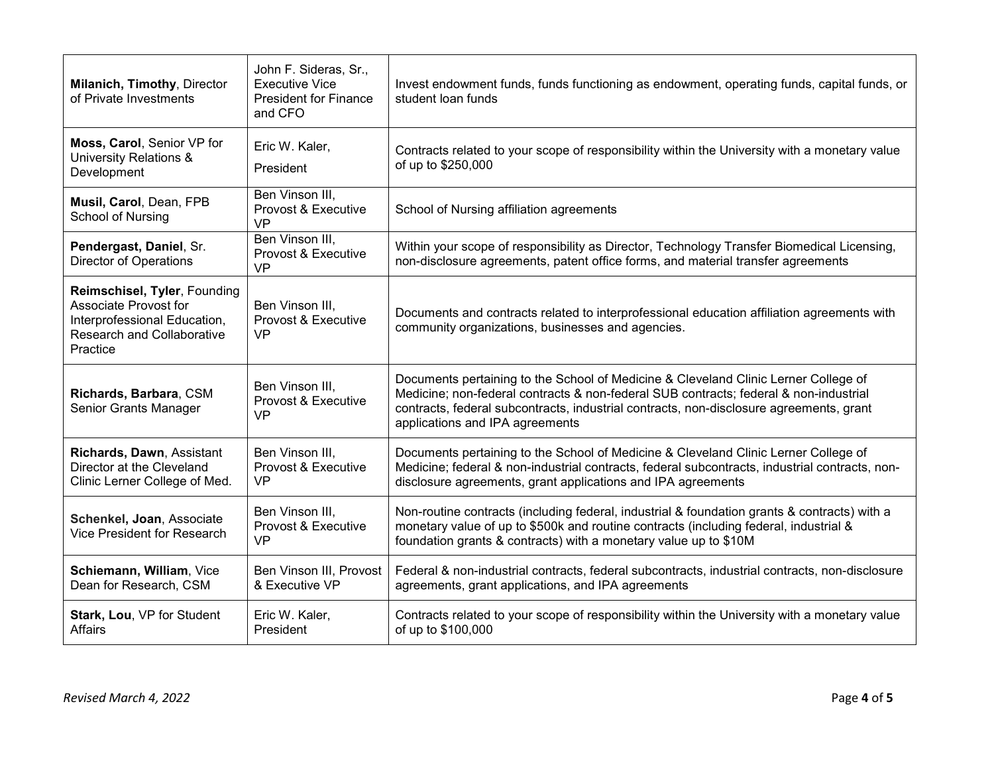| Milanich, Timothy, Director<br>of Private Investments                                                                                  | John F. Sideras, Sr.,<br><b>Executive Vice</b><br><b>President for Finance</b><br>and CFO | Invest endowment funds, funds functioning as endowment, operating funds, capital funds, or<br>student loan funds                                                                                                                                                                                           |
|----------------------------------------------------------------------------------------------------------------------------------------|-------------------------------------------------------------------------------------------|------------------------------------------------------------------------------------------------------------------------------------------------------------------------------------------------------------------------------------------------------------------------------------------------------------|
| Moss, Carol, Senior VP for<br>University Relations &<br>Development                                                                    | Eric W. Kaler,<br>President                                                               | Contracts related to your scope of responsibility within the University with a monetary value<br>of up to \$250,000                                                                                                                                                                                        |
| Musil, Carol, Dean, FPB<br>School of Nursing                                                                                           | Ben Vinson III,<br>Provost & Executive<br><b>VP</b>                                       | School of Nursing affiliation agreements                                                                                                                                                                                                                                                                   |
| Pendergast, Daniel, Sr.<br><b>Director of Operations</b>                                                                               | Ben Vinson III.<br>Provost & Executive<br><b>VP</b>                                       | Within your scope of responsibility as Director, Technology Transfer Biomedical Licensing,<br>non-disclosure agreements, patent office forms, and material transfer agreements                                                                                                                             |
| Reimschisel, Tyler, Founding<br>Associate Provost for<br>Interprofessional Education,<br><b>Research and Collaborative</b><br>Practice | Ben Vinson III.<br>Provost & Executive<br><b>VP</b>                                       | Documents and contracts related to interprofessional education affiliation agreements with<br>community organizations, businesses and agencies.                                                                                                                                                            |
| Richards, Barbara, CSM<br>Senior Grants Manager                                                                                        | Ben Vinson III,<br>Provost & Executive<br><b>VP</b>                                       | Documents pertaining to the School of Medicine & Cleveland Clinic Lerner College of<br>Medicine; non-federal contracts & non-federal SUB contracts; federal & non-industrial<br>contracts, federal subcontracts, industrial contracts, non-disclosure agreements, grant<br>applications and IPA agreements |
| Richards, Dawn, Assistant<br>Director at the Cleveland<br>Clinic Lerner College of Med.                                                | Ben Vinson III.<br>Provost & Executive<br><b>VP</b>                                       | Documents pertaining to the School of Medicine & Cleveland Clinic Lerner College of<br>Medicine; federal & non-industrial contracts, federal subcontracts, industrial contracts, non-<br>disclosure agreements, grant applications and IPA agreements                                                      |
| Schenkel, Joan, Associate<br>Vice President for Research                                                                               | Ben Vinson III,<br>Provost & Executive<br><b>VP</b>                                       | Non-routine contracts (including federal, industrial & foundation grants & contracts) with a<br>monetary value of up to \$500k and routine contracts (including federal, industrial &<br>foundation grants & contracts) with a monetary value up to \$10M                                                  |
| Schiemann, William, Vice<br>Dean for Research, CSM                                                                                     | Ben Vinson III, Provost<br>& Executive VP                                                 | Federal & non-industrial contracts, federal subcontracts, industrial contracts, non-disclosure<br>agreements, grant applications, and IPA agreements                                                                                                                                                       |
| Stark, Lou, VP for Student<br>Affairs                                                                                                  | Eric W. Kaler,<br>President                                                               | Contracts related to your scope of responsibility within the University with a monetary value<br>of up to \$100,000                                                                                                                                                                                        |